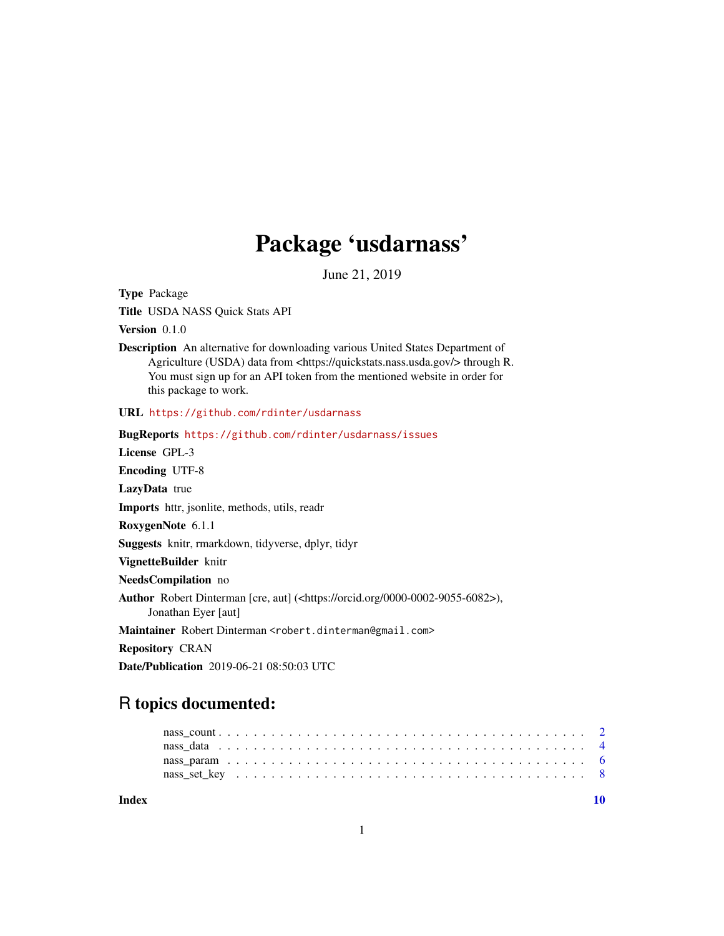### Package 'usdarnass'

June 21, 2019

Type Package

Title USDA NASS Quick Stats API

Version 0.1.0

Description An alternative for downloading various United States Department of Agriculture (USDA) data from <https://quickstats.nass.usda.gov/> through R. You must sign up for an API token from the mentioned website in order for this package to work.

URL <https://github.com/rdinter/usdarnass>

BugReports <https://github.com/rdinter/usdarnass/issues> License GPL-3 Encoding UTF-8 LazyData true Imports httr, jsonlite, methods, utils, readr RoxygenNote 6.1.1 Suggests knitr, rmarkdown, tidyverse, dplyr, tidyr VignetteBuilder knitr NeedsCompilation no Author Robert Dinterman [cre, aut] (<https://orcid.org/0000-0002-9055-6082>), Jonathan Eyer [aut] Maintainer Robert Dinterman <robert.dinterman@gmail.com> Repository CRAN

## R topics documented:

Date/Publication 2019-06-21 08:50:03 UTC

 $\blacksquare$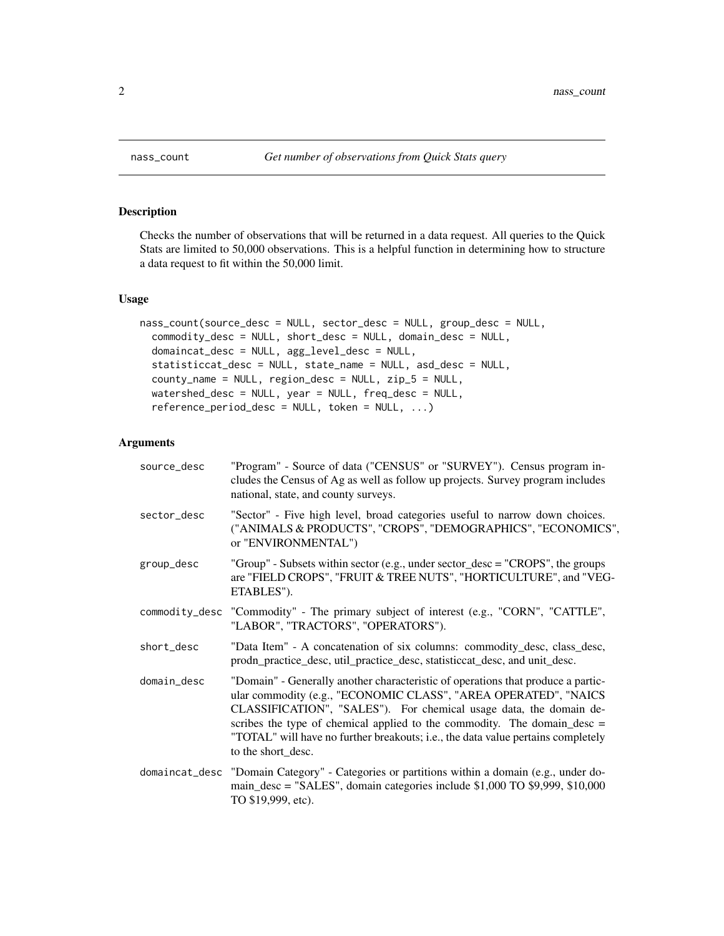#### Description

Checks the number of observations that will be returned in a data request. All queries to the Quick Stats are limited to 50,000 observations. This is a helpful function in determining how to structure a data request to fit within the 50,000 limit.

#### Usage

```
nass_count(source_desc = NULL, sector_desc = NULL, group_desc = NULL,
  commodity_desc = NULL, short_desc = NULL, domain_desc = NULL,
  domaincat_desc = NULL, agg_level_desc = NULL,
  statisticcat_desc = NULL, state_name = NULL, asd_desc = NULL,
  county_name = NULL, region_desc = NULL, zip_5 = NULL,
  watershed_desc = NULL, year = NULL, freq_desc = NULL,
  reference_period_desc = NULL, token = NULL, ...)
```
#### Arguments

| source_desc | "Program" - Source of data ("CENSUS" or "SURVEY"). Census program in-<br>cludes the Census of Ag as well as follow up projects. Survey program includes<br>national, state, and county surveys.                                                                                                                                                                                                                   |
|-------------|-------------------------------------------------------------------------------------------------------------------------------------------------------------------------------------------------------------------------------------------------------------------------------------------------------------------------------------------------------------------------------------------------------------------|
| sector_desc | "Sector" - Five high level, broad categories useful to narrow down choices.<br>("ANIMALS & PRODUCTS", "CROPS", "DEMOGRAPHICS", "ECONOMICS",<br>or "ENVIRONMENTAL")                                                                                                                                                                                                                                                |
| group_desc  | "Group" - Subsets within sector (e.g., under sector_desc = "CROPS", the groups<br>are "FIELD CROPS", "FRUIT & TREE NUTS", "HORTICULTURE", and "VEG-<br>ETABLES").                                                                                                                                                                                                                                                 |
|             | commodity_desc "Commodity" - The primary subject of interest (e.g., "CORN", "CATTLE",<br>"LABOR", "TRACTORS", "OPERATORS").                                                                                                                                                                                                                                                                                       |
| short_desc  | "Data Item" - A concatenation of six columns: commodity_desc, class_desc,<br>prodn_practice_desc, util_practice_desc, statisticcat_desc, and unit_desc.                                                                                                                                                                                                                                                           |
| domain_desc | "Domain" - Generally another characteristic of operations that produce a partic-<br>ular commodity (e.g., "ECONOMIC CLASS", "AREA OPERATED", "NAICS<br>CLASSIFICATION", "SALES"). For chemical usage data, the domain de-<br>scribes the type of chemical applied to the commodity. The domain_desc $=$<br>"TOTAL" will have no further breakouts; i.e., the data value pertains completely<br>to the short_desc. |
|             | domaincat_desc "Domain Category" - Categories or partitions within a domain (e.g., under do-<br>main_desc = "SALES", domain categories include \$1,000 TO \$9,999, \$10,000<br>TO \$19,999, etc).                                                                                                                                                                                                                 |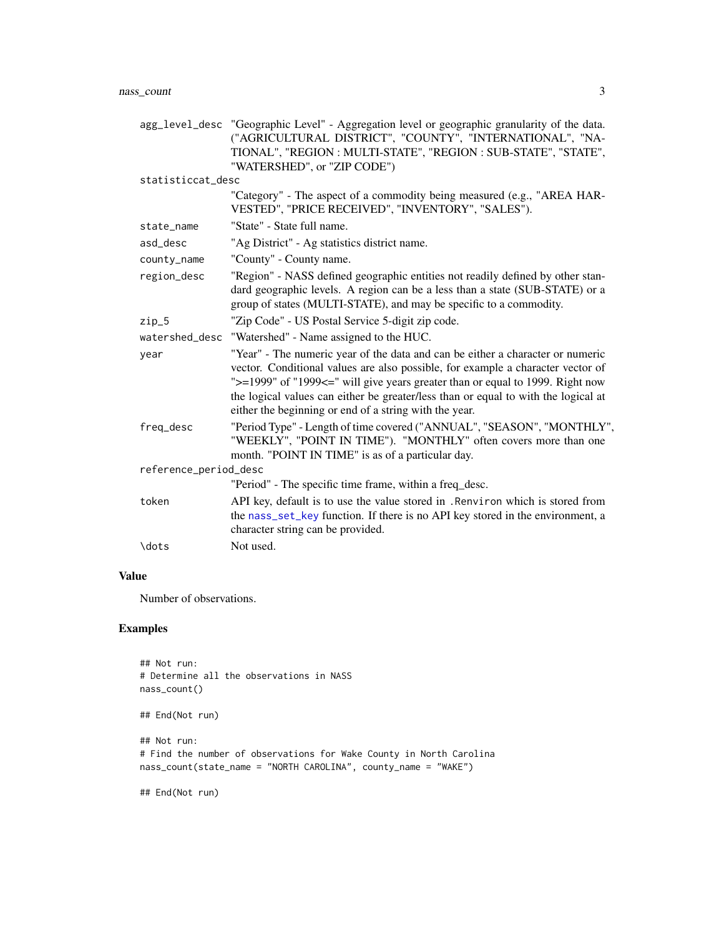<span id="page-2-0"></span>

|                       | agg_level_desc "Geographic Level" - Aggregation level or geographic granularity of the data.<br>("AGRICULTURAL DISTRICT", "COUNTY", "INTERNATIONAL", "NA-<br>TIONAL", "REGION : MULTI-STATE", "REGION : SUB-STATE", "STATE",<br>"WATERSHED", or "ZIP CODE")                                                                                                                                        |
|-----------------------|----------------------------------------------------------------------------------------------------------------------------------------------------------------------------------------------------------------------------------------------------------------------------------------------------------------------------------------------------------------------------------------------------|
| statisticcat_desc     |                                                                                                                                                                                                                                                                                                                                                                                                    |
|                       | "Category" - The aspect of a commodity being measured (e.g., "AREA HAR-<br>VESTED", "PRICE RECEIVED", "INVENTORY", "SALES").                                                                                                                                                                                                                                                                       |
| state_name            | "State" - State full name.                                                                                                                                                                                                                                                                                                                                                                         |
| asd_desc              | "Ag District" - Ag statistics district name.                                                                                                                                                                                                                                                                                                                                                       |
| county_name           | "County" - County name.                                                                                                                                                                                                                                                                                                                                                                            |
| region_desc           | "Region" - NASS defined geographic entities not readily defined by other stan-<br>dard geographic levels. A region can be a less than a state (SUB-STATE) or a<br>group of states (MULTI-STATE), and may be specific to a commodity.                                                                                                                                                               |
| $zip_5$               | "Zip Code" - US Postal Service 5-digit zip code.                                                                                                                                                                                                                                                                                                                                                   |
|                       | watershed_desc "Watershed" - Name assigned to the HUC.                                                                                                                                                                                                                                                                                                                                             |
| year                  | "Year" - The numeric year of the data and can be either a character or numeric<br>vector. Conditional values are also possible, for example a character vector of<br>">=1999" of "1999<=" will give years greater than or equal to 1999. Right now<br>the logical values can either be greater/less than or equal to with the logical at<br>either the beginning or end of a string with the year. |
| freq_desc             | "Period Type" - Length of time covered ("ANNUAL", "SEASON", "MONTHLY",<br>"WEEKLY", "POINT IN TIME"). "MONTHLY" often covers more than one<br>month. "POINT IN TIME" is as of a particular day.                                                                                                                                                                                                    |
| reference_period_desc |                                                                                                                                                                                                                                                                                                                                                                                                    |
|                       | "Period" - The specific time frame, within a freq_desc.                                                                                                                                                                                                                                                                                                                                            |
| token                 | API key, default is to use the value stored in . Renviron which is stored from<br>the nass_set_key function. If there is no API key stored in the environment, a<br>character string can be provided.                                                                                                                                                                                              |
| \dots                 | Not used.                                                                                                                                                                                                                                                                                                                                                                                          |

#### Value

Number of observations.

#### Examples

```
## Not run:
# Determine all the observations in NASS
nass_count()
## End(Not run)
## Not run:
# Find the number of observations for Wake County in North Carolina
nass_count(state_name = "NORTH CAROLINA", county_name = "WAKE")
```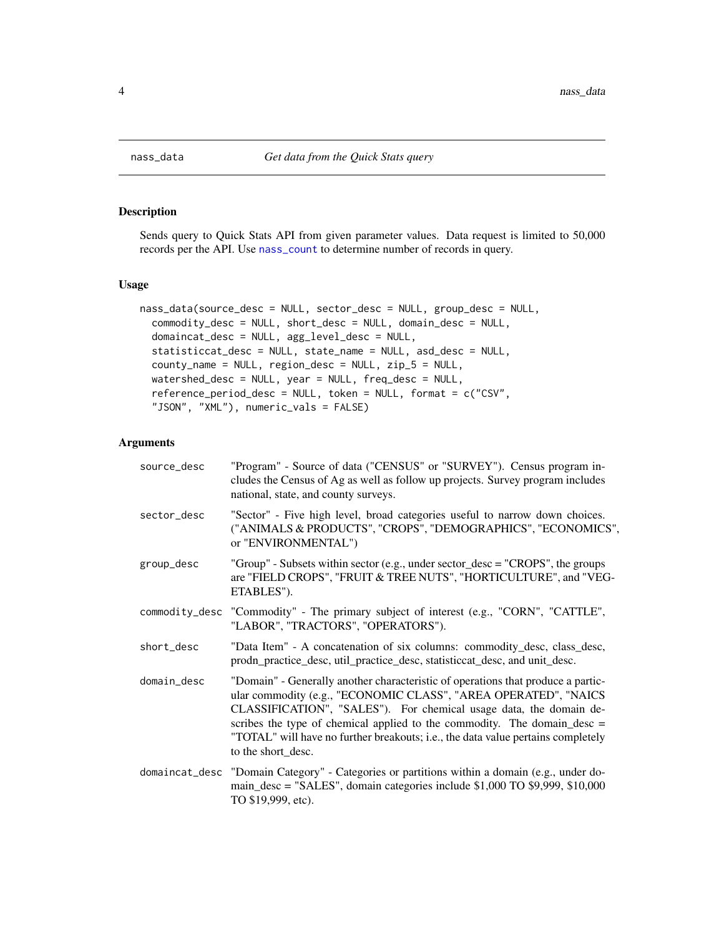<span id="page-3-1"></span><span id="page-3-0"></span>

#### Description

Sends query to Quick Stats API from given parameter values. Data request is limited to 50,000 records per the API. Use [nass\\_count](#page-1-1) to determine number of records in query.

#### Usage

```
nass_data(source_desc = NULL, sector_desc = NULL, group_desc = NULL,
 commodity_desc = NULL, short_desc = NULL, domain_desc = NULL,
  domaincat_desc = NULL, agg_level_desc = NULL,
  statisticcat_desc = NULL, state_name = NULL, asd_desc = NULL,
  county_name = NULL, region_desc = NULL, zip_5 = NULL,
 watershed_desc = NULL, year = NULL, freq_desc = NULL,
  reference_period_desc = NULL, token = NULL, format = c("CSV",
  "JSON", "XML"), numeric_vals = FALSE)
```
#### Arguments

| source_desc | "Program" - Source of data ("CENSUS" or "SURVEY"). Census program in-<br>cludes the Census of Ag as well as follow up projects. Survey program includes<br>national, state, and county surveys.                                                                                                                                                                                                                   |
|-------------|-------------------------------------------------------------------------------------------------------------------------------------------------------------------------------------------------------------------------------------------------------------------------------------------------------------------------------------------------------------------------------------------------------------------|
| sector_desc | "Sector" - Five high level, broad categories useful to narrow down choices.<br>("ANIMALS & PRODUCTS", "CROPS", "DEMOGRAPHICS", "ECONOMICS",<br>or "ENVIRONMENTAL")                                                                                                                                                                                                                                                |
| group_desc  | "Group" - Subsets within sector (e.g., under sector_desc = "CROPS", the groups<br>are "FIELD CROPS", "FRUIT & TREE NUTS", "HORTICULTURE", and "VEG-<br>ETABLES").                                                                                                                                                                                                                                                 |
|             | commodity_desc "Commodity" - The primary subject of interest (e.g., "CORN", "CATTLE",<br>"LABOR", "TRACTORS", "OPERATORS").                                                                                                                                                                                                                                                                                       |
| short_desc  | "Data Item" - A concatenation of six columns: commodity_desc, class_desc,<br>prodn_practice_desc, util_practice_desc, statisticcat_desc, and unit_desc.                                                                                                                                                                                                                                                           |
| domain_desc | "Domain" - Generally another characteristic of operations that produce a partic-<br>ular commodity (e.g., "ECONOMIC CLASS", "AREA OPERATED", "NAICS<br>CLASSIFICATION", "SALES"). For chemical usage data, the domain de-<br>scribes the type of chemical applied to the commodity. The domain_desc $=$<br>"TOTAL" will have no further breakouts; i.e., the data value pertains completely<br>to the short_desc. |
|             | domaincat_desc "Domain Category" - Categories or partitions within a domain (e.g., under do-<br>main_desc = "SALES", domain categories include \$1,000 TO \$9,999, \$10,000<br>TO \$19,999, etc).                                                                                                                                                                                                                 |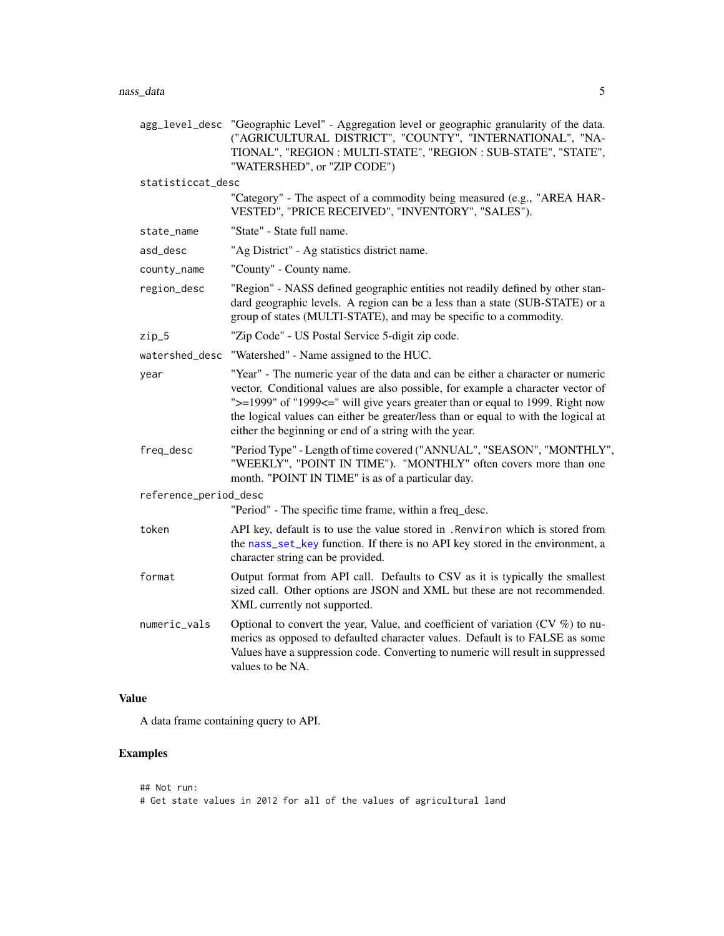<span id="page-4-0"></span>

|                       | agg_level_desc "Geographic Level" - Aggregation level or geographic granularity of the data.<br>("AGRICULTURAL DISTRICT", "COUNTY", "INTERNATIONAL", "NA-<br>TIONAL", "REGION : MULTI-STATE", "REGION : SUB-STATE", "STATE",<br>"WATERSHED", or "ZIP CODE")                                                                                                                                        |
|-----------------------|----------------------------------------------------------------------------------------------------------------------------------------------------------------------------------------------------------------------------------------------------------------------------------------------------------------------------------------------------------------------------------------------------|
| statisticcat_desc     |                                                                                                                                                                                                                                                                                                                                                                                                    |
|                       | "Category" - The aspect of a commodity being measured (e.g., "AREA HAR-<br>VESTED", "PRICE RECEIVED", "INVENTORY", "SALES").                                                                                                                                                                                                                                                                       |
| state_name            | "State" - State full name.                                                                                                                                                                                                                                                                                                                                                                         |
| asd_desc              | "Ag District" - Ag statistics district name.                                                                                                                                                                                                                                                                                                                                                       |
| county_name           | "County" - County name.                                                                                                                                                                                                                                                                                                                                                                            |
| region_desc           | "Region" - NASS defined geographic entities not readily defined by other stan-<br>dard geographic levels. A region can be a less than a state (SUB-STATE) or a<br>group of states (MULTI-STATE), and may be specific to a commodity.                                                                                                                                                               |
| $zip_5$               | "Zip Code" - US Postal Service 5-digit zip code.                                                                                                                                                                                                                                                                                                                                                   |
|                       | watershed_desc "Watershed" - Name assigned to the HUC.                                                                                                                                                                                                                                                                                                                                             |
| year                  | "Year" - The numeric year of the data and can be either a character or numeric<br>vector. Conditional values are also possible, for example a character vector of<br>">=1999" of "1999<=" will give years greater than or equal to 1999. Right now<br>the logical values can either be greater/less than or equal to with the logical at<br>either the beginning or end of a string with the year. |
| freq_desc             | "Period Type" - Length of time covered ("ANNUAL", "SEASON", "MONTHLY",<br>"WEEKLY", "POINT IN TIME"). "MONTHLY" often covers more than one<br>month. "POINT IN TIME" is as of a particular day.                                                                                                                                                                                                    |
| reference_period_desc |                                                                                                                                                                                                                                                                                                                                                                                                    |
|                       | "Period" - The specific time frame, within a freq_desc.                                                                                                                                                                                                                                                                                                                                            |
| token                 | API key, default is to use the value stored in . Renviron which is stored from<br>the nass_set_key function. If there is no API key stored in the environment, a<br>character string can be provided.                                                                                                                                                                                              |
| format                | Output format from API call. Defaults to CSV as it is typically the smallest<br>sized call. Other options are JSON and XML but these are not recommended.<br>XML currently not supported.                                                                                                                                                                                                          |
| numeric_vals          | Optional to convert the year, Value, and coefficient of variation (CV $\%$ ) to nu-<br>merics as opposed to defaulted character values. Default is to FALSE as some<br>Values have a suppression code. Converting to numeric will result in suppressed<br>values to be NA.                                                                                                                         |

#### Value

A data frame containing query to API.

#### Examples

```
## Not run:
# Get state values in 2012 for all of the values of agricultural land
```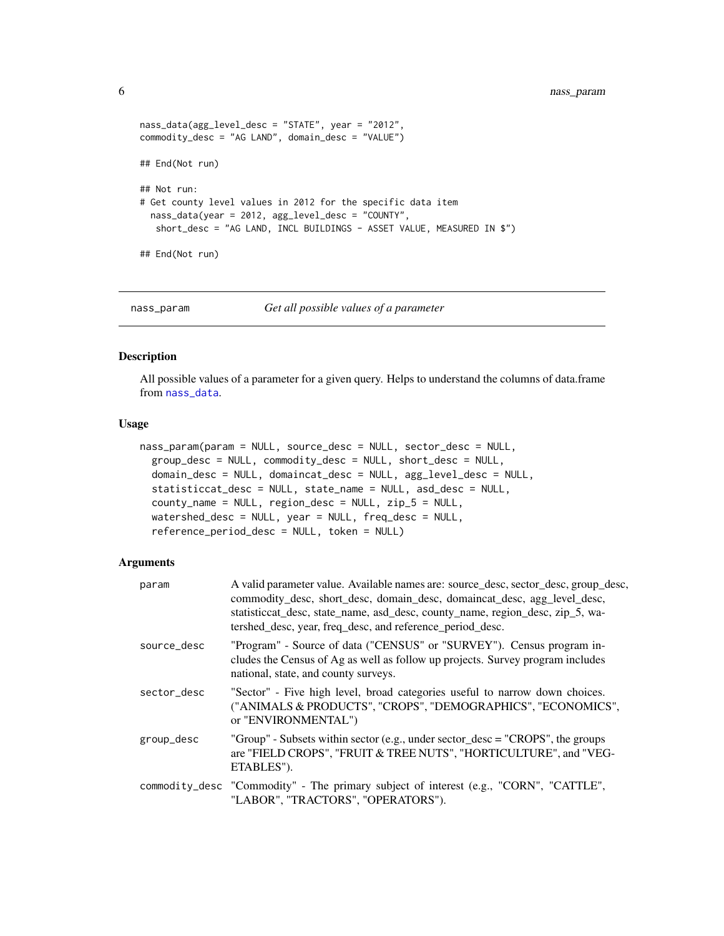```
nass_data(agg_level_desc = "STATE", year = "2012",
commodity_desc = "AG LAND", domain_desc = "VALUE")
## End(Not run)
## Not run:
# Get county level values in 2012 for the specific data item
  nass_data(year = 2012, agg_level_desc = "COUNTY",
  short_desc = "AG LAND, INCL BUILDINGS - ASSET VALUE, MEASURED IN $")
## End(Not run)
```
nass\_param *Get all possible values of a parameter*

#### Description

All possible values of a parameter for a given query. Helps to understand the columns of data.frame from [nass\\_data](#page-3-1).

#### Usage

```
nass_param(param = NULL, source_desc = NULL, sector_desc = NULL,
  group_desc = NULL, commodity_desc = NULL, short_desc = NULL,
 domain_desc = NULL, domaincat_desc = NULL, agg_level_desc = NULL,
  statisticcat_desc = NULL, state_name = NULL, asd_desc = NULL,
 county_name = NULL, region_desc = NULL, zip_5 = NULL,
 watershed_desc = NULL, year = NULL, freq_desc = NULL,
  reference_period_desc = NULL, token = NULL)
```
#### Arguments

| param       | A valid parameter value. Available names are: source_desc, sector_desc, group_desc,<br>commodity_desc, short_desc, domain_desc, domaincat_desc, agg_level_desc,<br>statisticcat_desc, state_name, asd_desc, county_name, region_desc, zip_5, wa-<br>tershed_desc, year, freq_desc, and reference_period_desc. |
|-------------|---------------------------------------------------------------------------------------------------------------------------------------------------------------------------------------------------------------------------------------------------------------------------------------------------------------|
| source_desc | "Program" - Source of data ("CENSUS" or "SURVEY"). Census program in-<br>cludes the Census of Ag as well as follow up projects. Survey program includes<br>national, state, and county surveys.                                                                                                               |
| sector desc | "Sector" - Five high level, broad categories useful to narrow down choices.<br>("ANIMALS & PRODUCTS", "CROPS", "DEMOGRAPHICS", "ECONOMICS",<br>or "ENVIRONMENTAL")                                                                                                                                            |
| group_desc  | "Group" - Subsets within sector (e.g., under sector_desc = "CROPS", the groups<br>are "FIELD CROPS", "FRUIT & TREE NUTS", "HORTICULTURE", and "VEG-<br>ETABLES").                                                                                                                                             |
|             | commodity_desc "Commodity" - The primary subject of interest (e.g., "CORN", "CATTLE",<br>"LABOR", "TRACTORS", "OPERATORS").                                                                                                                                                                                   |

<span id="page-5-0"></span>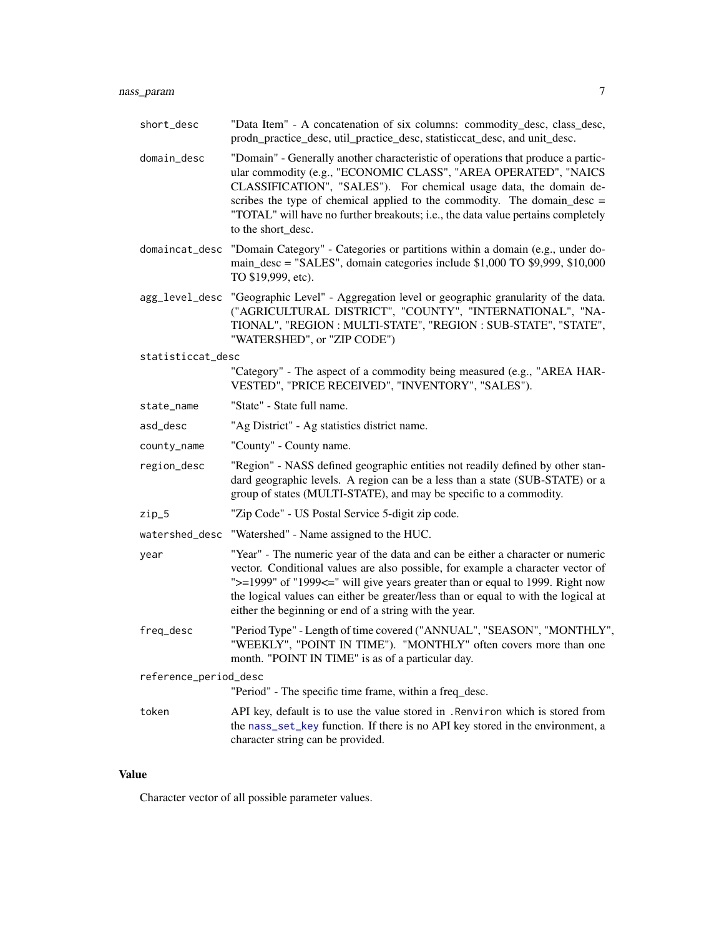<span id="page-6-0"></span>

| short_desc            | "Data Item" - A concatenation of six columns: commodity_desc, class_desc,<br>prodn_practice_desc, util_practice_desc, statisticcat_desc, and unit_desc.                                                                                                                                                                                                                                                         |
|-----------------------|-----------------------------------------------------------------------------------------------------------------------------------------------------------------------------------------------------------------------------------------------------------------------------------------------------------------------------------------------------------------------------------------------------------------|
| domain_desc           | "Domain" - Generally another characteristic of operations that produce a partic-<br>ular commodity (e.g., "ECONOMIC CLASS", "AREA OPERATED", "NAICS<br>CLASSIFICATION", "SALES"). For chemical usage data, the domain de-<br>scribes the type of chemical applied to the commodity. The domain_desc =<br>"TOTAL" will have no further breakouts; i.e., the data value pertains completely<br>to the short_desc. |
| domaincat_desc        | "Domain Category" - Categories or partitions within a domain (e.g., under do-<br>main_desc = "SALES", domain categories include \$1,000 TO \$9,999, \$10,000<br>TO \$19,999, etc).                                                                                                                                                                                                                              |
| agg_level_desc        | "Geographic Level" - Aggregation level or geographic granularity of the data.<br>("AGRICULTURAL DISTRICT", "COUNTY", "INTERNATIONAL", "NA-<br>TIONAL", "REGION : MULTI-STATE", "REGION : SUB-STATE", "STATE",<br>"WATERSHED", or "ZIP CODE")                                                                                                                                                                    |
| statisticcat_desc     |                                                                                                                                                                                                                                                                                                                                                                                                                 |
|                       | "Category" - The aspect of a commodity being measured (e.g., "AREA HAR-<br>VESTED", "PRICE RECEIVED", "INVENTORY", "SALES").                                                                                                                                                                                                                                                                                    |
| state_name            | "State" - State full name.                                                                                                                                                                                                                                                                                                                                                                                      |
| asd_desc              | "Ag District" - Ag statistics district name.                                                                                                                                                                                                                                                                                                                                                                    |
| county_name           | "County" - County name.                                                                                                                                                                                                                                                                                                                                                                                         |
| region_desc           | "Region" - NASS defined geographic entities not readily defined by other stan-<br>dard geographic levels. A region can be a less than a state (SUB-STATE) or a<br>group of states (MULTI-STATE), and may be specific to a commodity.                                                                                                                                                                            |
| $zip_5$               | "Zip Code" - US Postal Service 5-digit zip code.                                                                                                                                                                                                                                                                                                                                                                |
| watershed_desc        | "Watershed" - Name assigned to the HUC.                                                                                                                                                                                                                                                                                                                                                                         |
| year                  | "Year" - The numeric year of the data and can be either a character or numeric<br>vector. Conditional values are also possible, for example a character vector of<br>">=1999" of "1999<=" will give years greater than or equal to 1999. Right now<br>the logical values can either be greater/less than or equal to with the logical at<br>either the beginning or end of a string with the year.              |
| freq_desc             | "Period Type" - Length of time covered ("ANNUAL", "SEASON", "MONTHLY",<br>"WEEKLY", "POINT IN TIME"). "MONTHLY" often covers more than one<br>month. "POINT IN TIME" is as of a particular day.                                                                                                                                                                                                                 |
| reference_period_desc |                                                                                                                                                                                                                                                                                                                                                                                                                 |
|                       | "Period" - The specific time frame, within a freq_desc.                                                                                                                                                                                                                                                                                                                                                         |
| token                 | API key, default is to use the value stored in . Renviron which is stored from<br>the nass_set_key function. If there is no API key stored in the environment, a<br>character string can be provided.                                                                                                                                                                                                           |

#### Value

Character vector of all possible parameter values.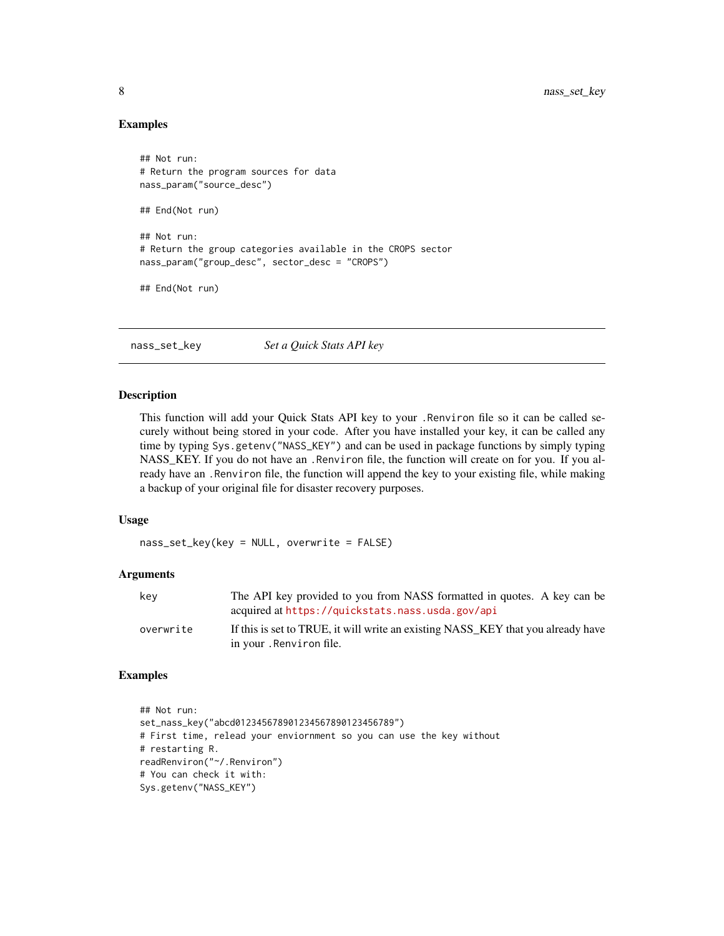#### Examples

```
## Not run:
# Return the program sources for data
nass_param("source_desc")
## End(Not run)
## Not run:
# Return the group categories available in the CROPS sector
nass_param("group_desc", sector_desc = "CROPS")
## End(Not run)
```
<span id="page-7-1"></span>nass\_set\_key *Set a Quick Stats API key*

#### Description

This function will add your Quick Stats API key to your .Renviron file so it can be called securely without being stored in your code. After you have installed your key, it can be called any time by typing Sys.getenv("NASS\_KEY") and can be used in package functions by simply typing NASS\_KEY. If you do not have an .Renviron file, the function will create on for you. If you already have an .Renviron file, the function will append the key to your existing file, while making a backup of your original file for disaster recovery purposes.

#### Usage

nass\_set\_key(key = NULL, overwrite = FALSE)

#### Arguments

| kev       | The API key provided to you from NASS formatted in quotes. A key can be<br>acquired at https://quickstats.nass.usda.gov/api |
|-----------|-----------------------------------------------------------------------------------------------------------------------------|
| overwrite | If this is set to TRUE, it will write an existing NASS KEY that you already have<br>in your . Renviron file.                |

#### Examples

```
## Not run:
set_nass_key("abcd012345678901234567890123456789")
# First time, relead your enviornment so you can use the key without
# restarting R.
readRenviron("~/.Renviron")
# You can check it with:
Sys.getenv("NASS_KEY")
```
<span id="page-7-0"></span>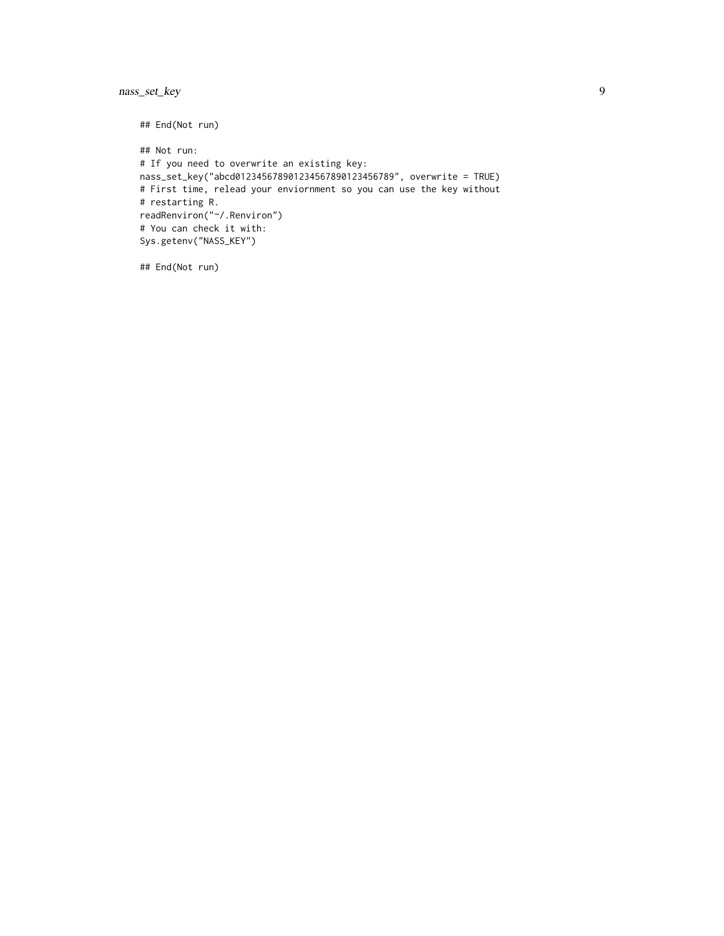nass\_set\_key 9

## End(Not run) ## Not run: # If you need to overwrite an existing key: nass\_set\_key("abcd012345678901234567890123456789", overwrite = TRUE) # First time, relead your enviornment so you can use the key without # restarting R. readRenviron("~/.Renviron") # You can check it with: Sys.getenv("NASS\_KEY")

## End(Not run)